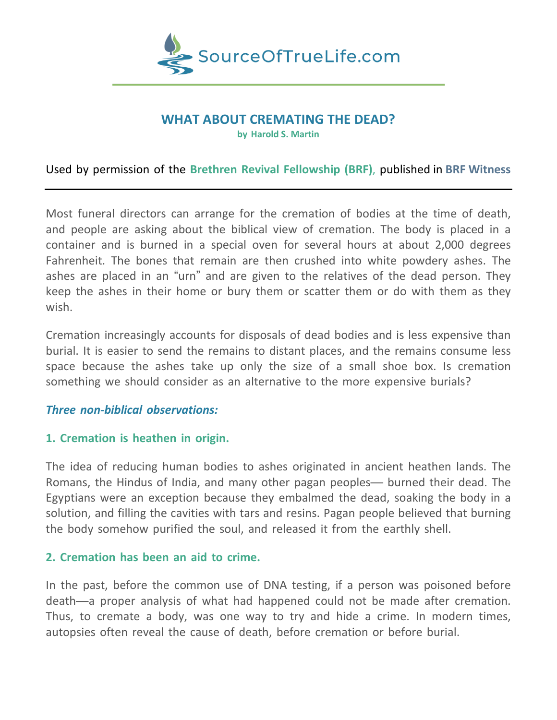

# **WHAT ABOUT CREMATING THE DEAD?**

**by Harold S. Martin**

# Used by permission of the **Brethren Revival Fellowship (BRF)**, published in **BRF Witness**

Most funeral directors can arrange for the cremation of bodies at the time of death, and people are asking about the biblical view of cremation. The body is placed in a container and is burned in a special oven for several hours at about 2,000 degrees Fahrenheit. The bones that remain are then crushed into white powdery ashes. The ashes are placed in an "urn" and are given to the relatives of the dead person. They keep the ashes in their home or bury them or scatter them or do with them as they wish.

Cremation increasingly accounts for disposals of dead bodies and is less expensive than burial. It is easier to send the remains to distant places, and the remains consume less space because the ashes take up only the size of a small shoe box. Is cremation something we should consider as an alternative to the more expensive burials?

## *Three non-biblical observations:*

## **1. Cremation is heathen in origin.**

The idea of reducing human bodies to ashes originated in ancient heathen lands. The Romans, the Hindus of India, and many other pagan peoples— burned their dead. The Egyptians were an exception because they embalmed the dead, soaking the body in a solution, and filling the cavities with tars and resins. Pagan people believed that burning the body somehow purified the soul, and released it from the earthly shell.

## **2. Cremation has been an aid to crime.**

In the past, before the common use of DNA testing, if a person was poisoned before death—a proper analysis of what had happened could not be made after cremation. Thus, to cremate a body, was one way to try and hide a crime. In modern times, autopsies often reveal the cause of death, before cremation or before burial.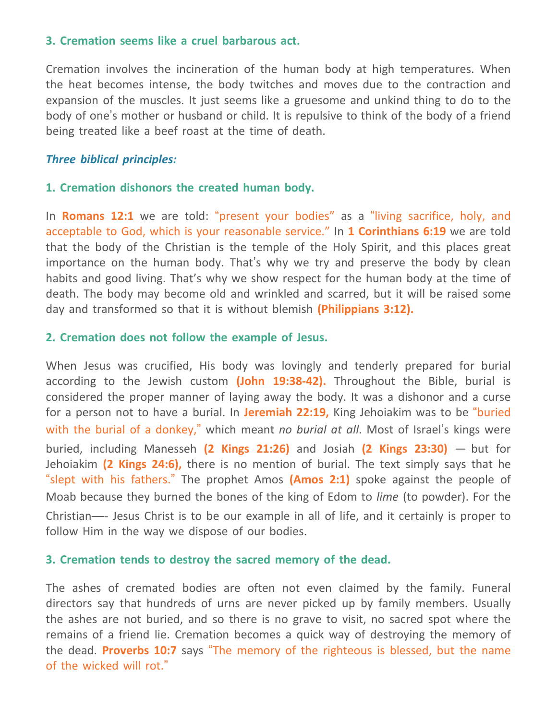## **3. Cremation seems like a cruel barbarous act.**

Cremation involves the incineration of the human body at high temperatures. When the heat becomes intense, the body twitches and moves due to the contraction and expansion of the muscles. It just seems like a gruesome and unkind thing to do to the body of one's mother or husband or child. It is repulsive to think of the body of a friend being treated like a beef roast at the time of death.

### *Three biblical principles:*

#### **1. Cremation dishonors the created human body.**

In **Romans 12:1** we are told: "present your bodies" as a "living sacrifice, holy, and acceptable to God, which is your reasonable service." In **1 Corinthians 6:19** we are told that the body of the Christian is the temple of the Holy Spirit, and this places great importance on the human body. That's why we try and preserve the body by clean habits and good living. That's why we show respect for the human body at the time of death. The body may become old and wrinkled and scarred, but it will be raised some day and transformed so that it is without blemish **(Philippians 3:12).**

### **2. Cremation does not follow the example of Jesus.**

When Jesus was crucified, His body was lovingly and tenderly prepared for burial according to the Jewish custom **(John 19:38-42).** Throughout the Bible, burial is considered the proper manner of laying away the body. It was a dishonor and a curse for a person not to have a burial. In **Jeremiah 22:19,** King Jehoiakim was to be "buried with the burial of a donkey," which meant *no burial at all*. Most of Israel's kings were buried, including Manesseh **(2 Kings 21:26)** and Josiah **(2 Kings 23:30)** — but for Jehoiakim **(2 Kings 24:6),** there is no mention of burial. The text simply says that he "slept with his fathers." The prophet Amos **(Amos 2:1)** spoke against the people of Moab because they burned the bones of the king of Edom to *lime* (to powder). For the Christian—- Jesus Christ is to be our example in all of life, and it certainly is proper to follow Him in the way we dispose of our bodies.

#### **3. Cremation tends to destroy the sacred memory of the dead.**

The ashes of cremated bodies are often not even claimed by the family. Funeral directors say that hundreds of urns are never picked up by family members. Usually the ashes are not buried, and so there is no grave to visit, no sacred spot where the remains of a friend lie. Cremation becomes a quick way of destroying the memory of the dead. **Proverbs 10:7** says "The memory of the righteous is blessed, but the name of the wicked will rot."